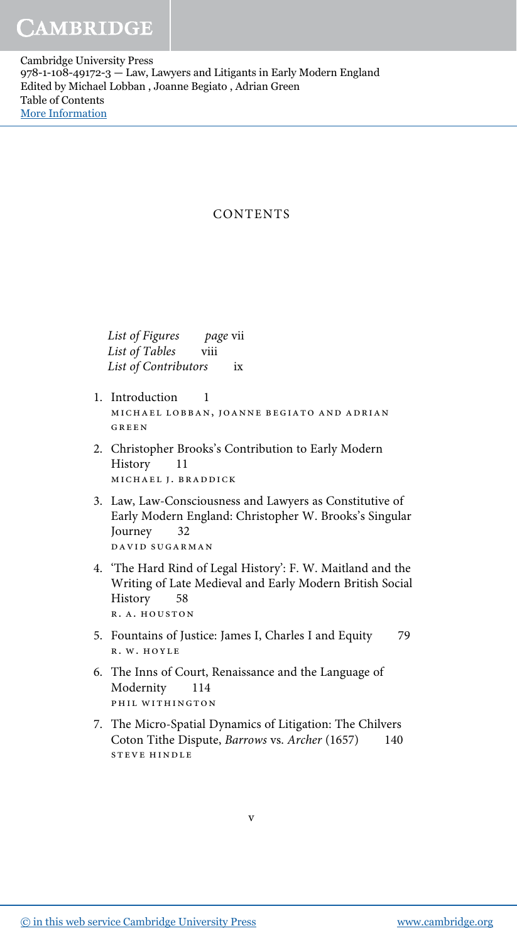Cambridge University Press 978-1-108-49172-3 — Law, Lawyers and Litigants in Early Modern England Edited by Michael Lobban , Joanne Begiato , Adrian Green Table of Contents [More Information](www.cambridge.org/9781108491723)

## **CONTENTS**

List of Figures page vii List of Tables viii List of Contributors ix

- 1. Introduction 1 michael lobban, joanne begiato and adrian GREEN
- 2. Christopher Brooks's Contribution to Early Modern History 11 michael j. braddick
- 3. Law, Law-Consciousness and Lawyers as Constitutive of Early Modern England: Christopher W. Brooks's Singular Journey 32 david sugarman
- 4. 'The Hard Rind of Legal History': F. W. Maitland and the Writing of Late Medieval and Early Modern British Social History 58 r. a. houston
- 5. Fountains of Justice: James I, Charles I and Equity 79 r. w. hoyle
- 6. The Inns of Court, Renaissance and the Language of Modernity 114 phil withington
- 7. The Micro-Spatial Dynamics of Litigation: The Chilvers Coton Tithe Dispute, Barrows vs. Archer (1657) 140 steve hindle